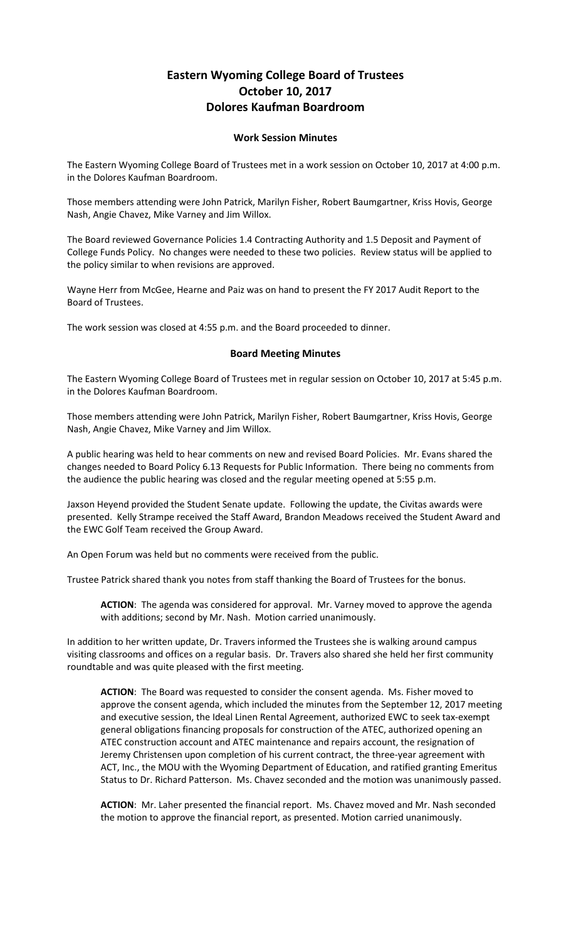## **Eastern Wyoming College Board of Trustees October 10, 2017 Dolores Kaufman Boardroom**

## **Work Session Minutes**

The Eastern Wyoming College Board of Trustees met in a work session on October 10, 2017 at 4:00 p.m. in the Dolores Kaufman Boardroom.

Those members attending were John Patrick, Marilyn Fisher, Robert Baumgartner, Kriss Hovis, George Nash, Angie Chavez, Mike Varney and Jim Willox.

The Board reviewed Governance Policies 1.4 Contracting Authority and 1.5 Deposit and Payment of College Funds Policy. No changes were needed to these two policies. Review status will be applied to the policy similar to when revisions are approved.

Wayne Herr from McGee, Hearne and Paiz was on hand to present the FY 2017 Audit Report to the Board of Trustees.

The work session was closed at 4:55 p.m. and the Board proceeded to dinner.

## **Board Meeting Minutes**

The Eastern Wyoming College Board of Trustees met in regular session on October 10, 2017 at 5:45 p.m. in the Dolores Kaufman Boardroom.

Those members attending were John Patrick, Marilyn Fisher, Robert Baumgartner, Kriss Hovis, George Nash, Angie Chavez, Mike Varney and Jim Willox.

A public hearing was held to hear comments on new and revised Board Policies. Mr. Evans shared the changes needed to Board Policy 6.13 Requests for Public Information. There being no comments from the audience the public hearing was closed and the regular meeting opened at 5:55 p.m.

Jaxson Heyend provided the Student Senate update. Following the update, the Civitas awards were presented. Kelly Strampe received the Staff Award, Brandon Meadows received the Student Award and the EWC Golf Team received the Group Award.

An Open Forum was held but no comments were received from the public.

Trustee Patrick shared thank you notes from staff thanking the Board of Trustees for the bonus.

**ACTION**: The agenda was considered for approval. Mr. Varney moved to approve the agenda with additions; second by Mr. Nash. Motion carried unanimously.

In addition to her written update, Dr. Travers informed the Trustees she is walking around campus visiting classrooms and offices on a regular basis. Dr. Travers also shared she held her first community roundtable and was quite pleased with the first meeting.

**ACTION**: The Board was requested to consider the consent agenda. Ms. Fisher moved to approve the consent agenda, which included the minutes from the September 12, 2017 meeting and executive session, the Ideal Linen Rental Agreement, authorized EWC to seek tax-exempt general obligations financing proposals for construction of the ATEC, authorized opening an ATEC construction account and ATEC maintenance and repairs account, the resignation of Jeremy Christensen upon completion of his current contract, the three-year agreement with ACT, Inc., the MOU with the Wyoming Department of Education, and ratified granting Emeritus Status to Dr. Richard Patterson. Ms. Chavez seconded and the motion was unanimously passed.

**ACTION**: Mr. Laher presented the financial report. Ms. Chavez moved and Mr. Nash seconded the motion to approve the financial report, as presented. Motion carried unanimously.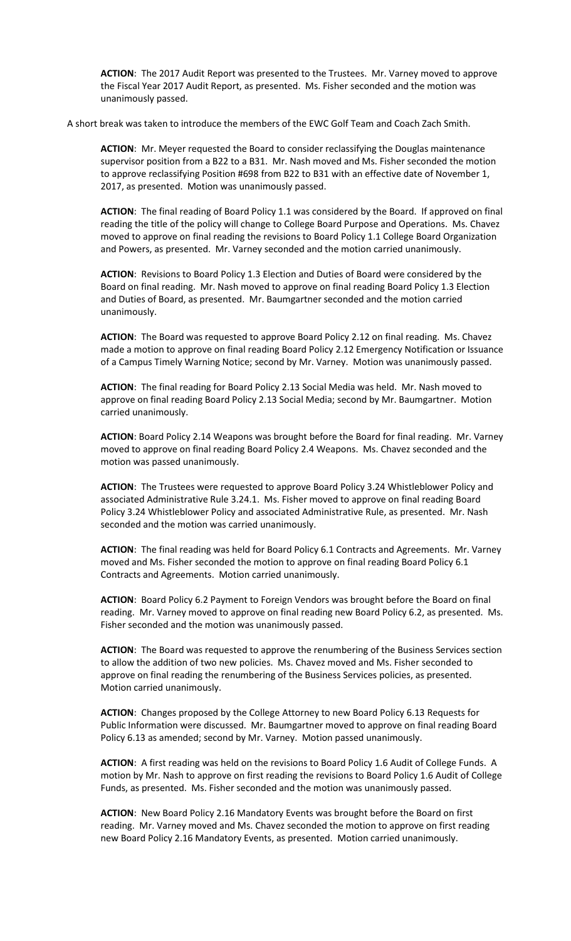**ACTION**: The 2017 Audit Report was presented to the Trustees. Mr. Varney moved to approve the Fiscal Year 2017 Audit Report, as presented. Ms. Fisher seconded and the motion was unanimously passed.

A short break was taken to introduce the members of the EWC Golf Team and Coach Zach Smith.

**ACTION**: Mr. Meyer requested the Board to consider reclassifying the Douglas maintenance supervisor position from a B22 to a B31. Mr. Nash moved and Ms. Fisher seconded the motion to approve reclassifying Position #698 from B22 to B31 with an effective date of November 1, 2017, as presented. Motion was unanimously passed.

**ACTION**: The final reading of Board Policy 1.1 was considered by the Board. If approved on final reading the title of the policy will change to College Board Purpose and Operations. Ms. Chavez moved to approve on final reading the revisions to Board Policy 1.1 College Board Organization and Powers, as presented. Mr. Varney seconded and the motion carried unanimously.

**ACTION**: Revisions to Board Policy 1.3 Election and Duties of Board were considered by the Board on final reading. Mr. Nash moved to approve on final reading Board Policy 1.3 Election and Duties of Board, as presented. Mr. Baumgartner seconded and the motion carried unanimously.

**ACTION**: The Board was requested to approve Board Policy 2.12 on final reading. Ms. Chavez made a motion to approve on final reading Board Policy 2.12 Emergency Notification or Issuance of a Campus Timely Warning Notice; second by Mr. Varney. Motion was unanimously passed.

**ACTION**: The final reading for Board Policy 2.13 Social Media was held. Mr. Nash moved to approve on final reading Board Policy 2.13 Social Media; second by Mr. Baumgartner. Motion carried unanimously.

**ACTION**: Board Policy 2.14 Weapons was brought before the Board for final reading. Mr. Varney moved to approve on final reading Board Policy 2.4 Weapons. Ms. Chavez seconded and the motion was passed unanimously.

**ACTION**: The Trustees were requested to approve Board Policy 3.24 Whistleblower Policy and associated Administrative Rule 3.24.1. Ms. Fisher moved to approve on final reading Board Policy 3.24 Whistleblower Policy and associated Administrative Rule, as presented. Mr. Nash seconded and the motion was carried unanimously.

**ACTION**: The final reading was held for Board Policy 6.1 Contracts and Agreements. Mr. Varney moved and Ms. Fisher seconded the motion to approve on final reading Board Policy 6.1 Contracts and Agreements. Motion carried unanimously.

**ACTION**: Board Policy 6.2 Payment to Foreign Vendors was brought before the Board on final reading. Mr. Varney moved to approve on final reading new Board Policy 6.2, as presented. Ms. Fisher seconded and the motion was unanimously passed.

**ACTION**: The Board was requested to approve the renumbering of the Business Services section to allow the addition of two new policies. Ms. Chavez moved and Ms. Fisher seconded to approve on final reading the renumbering of the Business Services policies, as presented. Motion carried unanimously.

**ACTION**: Changes proposed by the College Attorney to new Board Policy 6.13 Requests for Public Information were discussed. Mr. Baumgartner moved to approve on final reading Board Policy 6.13 as amended; second by Mr. Varney. Motion passed unanimously.

**ACTION**: A first reading was held on the revisions to Board Policy 1.6 Audit of College Funds. A motion by Mr. Nash to approve on first reading the revisions to Board Policy 1.6 Audit of College Funds, as presented. Ms. Fisher seconded and the motion was unanimously passed.

**ACTION**: New Board Policy 2.16 Mandatory Events was brought before the Board on first reading. Mr. Varney moved and Ms. Chavez seconded the motion to approve on first reading new Board Policy 2.16 Mandatory Events, as presented. Motion carried unanimously.